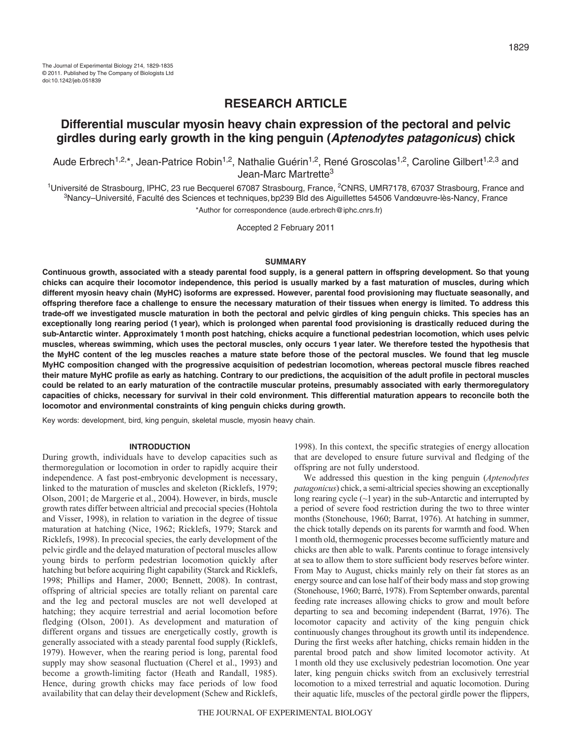# **RESEARCH ARTICLE**

# **Differential muscular myosin heavy chain expression of the pectoral and pelvic girdles during early growth in the king penguin (Aptenodytes patagonicus) chick**

Aude Erbrech<sup>1,2,\*</sup>, Jean-Patrice Robin<sup>1,2</sup>, Nathalie Guérin<sup>1,2</sup>, René Groscolas<sup>1,2</sup>, Caroline Gilbert<sup>1,2,3</sup> and Jean-Marc Martrette<sup>3</sup>

<sup>1</sup>Université de Strasbourg, IPHC, 23 rue Becquerel 67087 Strasbourg, France, <sup>2</sup>CNRS, UMR7178, 67037 Strasbourg, France and 3Nancy–Université, Faculté des Sciences et techniques, bp239 Bld des Aiguillettes 54506 Vandœuvre-lès-Nancy, France

\*Author for correspondence (aude.erbrech@iphc.cnrs.fr)

Accepted 2 February 2011

# **SUMMARY**

**Continuous growth, associated with a steady parental food supply, is a general pattern in offspring development. So that young chicks can acquire their locomotor independence, this period is usually marked by a fast maturation of muscles, during which different myosin heavy chain (MyHC) isoforms are expressed. However, parental food provisioning may fluctuate seasonally, and offspring therefore face a challenge to ensure the necessary maturation of their tissues when energy is limited. To address this trade-off we investigated muscle maturation in both the pectoral and pelvic girdles of king penguin chicks. This species has an exceptionally long rearing period (1year), which is prolonged when parental food provisioning is drastically reduced during the sub-Antarctic winter. Approximately 1month post hatching, chicks acquire a functional pedestrian locomotion, which uses pelvic muscles, whereas swimming, which uses the pectoral muscles, only occurs 1year later. We therefore tested the hypothesis that the MyHC content of the leg muscles reaches a mature state before those of the pectoral muscles. We found that leg muscle MyHC composition changed with the progressive acquisition of pedestrian locomotion, whereas pectoral muscle fibres reached their mature MyHC profile as early as hatching. Contrary to our predictions, the acquisition of the adult profile in pectoral muscles could be related to an early maturation of the contractile muscular proteins, presumably associated with early thermoregulatory capacities of chicks, necessary for survival in their cold environment. This differential maturation appears to reconcile both the locomotor and environmental constraints of king penguin chicks during growth.**

Key words: development, bird, king penguin, skeletal muscle, myosin heavy chain.

### **INTRODUCTION**

During growth, individuals have to develop capacities such as thermoregulation or locomotion in order to rapidly acquire their independence. A fast post-embryonic development is necessary, linked to the maturation of muscles and skeleton (Ricklefs, 1979; Olson, 2001; de Margerie et al., 2004). However, in birds, muscle growth rates differ between altricial and precocial species (Hohtola and Visser, 1998), in relation to variation in the degree of tissue maturation at hatching (Nice, 1962; Ricklefs, 1979; Starck and Ricklefs, 1998). In precocial species, the early development of the pelvic girdle and the delayed maturation of pectoral muscles allow young birds to perform pedestrian locomotion quickly after hatching but before acquiring flight capability (Starck and Ricklefs, 1998; Phillips and Hamer, 2000; Bennett, 2008). In contrast, offspring of altricial species are totally reliant on parental care and the leg and pectoral muscles are not well developed at hatching; they acquire terrestrial and aerial locomotion before fledging (Olson, 2001). As development and maturation of different organs and tissues are energetically costly, growth is generally associated with a steady parental food supply (Ricklefs, 1979). However, when the rearing period is long, parental food supply may show seasonal fluctuation (Cherel et al., 1993) and become a growth-limiting factor (Heath and Randall, 1985). Hence, during growth chicks may face periods of low food availability that can delay their development (Schew and Ricklefs,

1998). In this context, the specific strategies of energy allocation that are developed to ensure future survival and fledging of the offspring are not fully understood.

We addressed this question in the king penguin (*Aptenodytes patagonicus*) chick, a semi-altricial species showing an exceptionally long rearing cycle  $(\sim]$  year) in the sub-Antarctic and interrupted by a period of severe food restriction during the two to three winter months (Stonehouse, 1960; Barrat, 1976). At hatching in summer, the chick totally depends on its parents for warmth and food. When 1month old, thermogenic processes become sufficiently mature and chicks are then able to walk. Parents continue to forage intensively at sea to allow them to store sufficient body reserves before winter. From May to August, chicks mainly rely on their fat stores as an energy source and can lose half of their body mass and stop growing (Stonehouse, 1960; Barré, 1978). From September onwards, parental feeding rate increases allowing chicks to grow and moult before departing to sea and becoming independent (Barrat, 1976). The locomotor capacity and activity of the king penguin chick continuously changes throughout its growth until its independence. During the first weeks after hatching, chicks remain hidden in the parental brood patch and show limited locomotor activity. At 1month old they use exclusively pedestrian locomotion. One year later, king penguin chicks switch from an exclusively terrestrial locomotion to a mixed terrestrial and aquatic locomotion. During their aquatic life, muscles of the pectoral girdle power the flippers,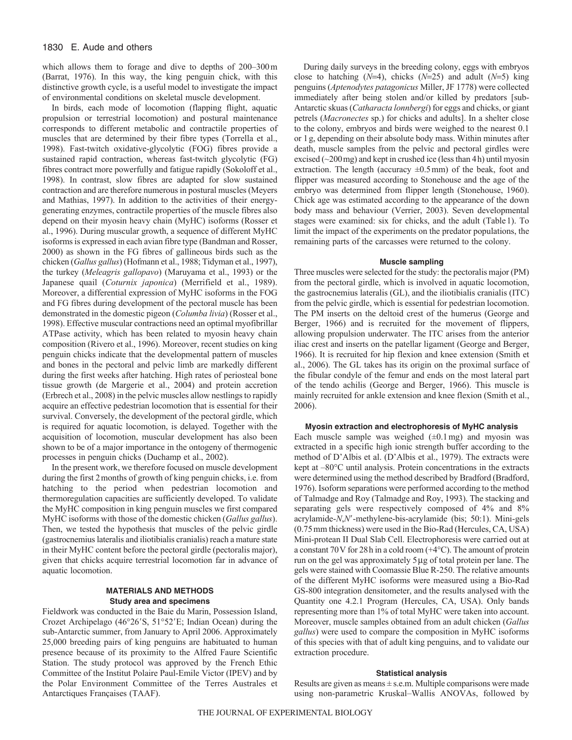which allows them to forage and dive to depths of 200–300m (Barrat, 1976). In this way, the king penguin chick, with this distinctive growth cycle, is a useful model to investigate the impact of environmental conditions on skeletal muscle development.

In birds, each mode of locomotion (flapping flight, aquatic propulsion or terrestrial locomotion) and postural maintenance corresponds to different metabolic and contractile properties of muscles that are determined by their fibre types (Torrella et al., 1998). Fast-twitch oxidative-glycolytic (FOG) fibres provide a sustained rapid contraction, whereas fast-twitch glycolytic (FG) fibres contract more powerfully and fatigue rapidly (Sokoloff et al., 1998). In contrast, slow fibres are adapted for slow sustained contraction and are therefore numerous in postural muscles (Meyers and Mathias, 1997). In addition to the activities of their energygenerating enzymes, contractile properties of the muscle fibres also depend on their myosin heavy chain (MyHC) isoforms (Rosser et al., 1996). During muscular growth, a sequence of different MyHC isoforms is expressed in each avian fibre type (Bandman and Rosser, 2000) as shown in the FG fibres of gallineous birds such as the chicken (*Gallus gallus*) (Hofmann et al., 1988; Tidyman et al., 1997), the turkey (*Meleagris gallopavo*) (Maruyama et al., 1993) or the Japanese quail (*Coturnix japonica*) (Merrifield et al., 1989). Moreover, a differential expression of MyHC isoforms in the FOG and FG fibres during development of the pectoral muscle has been demonstrated in the domestic pigeon (*Columba livia*) (Rosser et al., 1998). Effective muscular contractions need an optimal myofibrillar ATPase activity, which has been related to myosin heavy chain composition (Rivero et al., 1996). Moreover, recent studies on king penguin chicks indicate that the developmental pattern of muscles and bones in the pectoral and pelvic limb are markedly different during the first weeks after hatching. High rates of periosteal bone tissue growth (de Margerie et al., 2004) and protein accretion (Erbrech et al., 2008) in the pelvic muscles allow nestlings to rapidly acquire an effective pedestrian locomotion that is essential for their survival. Conversely, the development of the pectoral girdle, which is required for aquatic locomotion, is delayed. Together with the acquisition of locomotion, muscular development has also been shown to be of a major importance in the ontogeny of thermogenic processes in penguin chicks (Duchamp et al., 2002).

In the present work, we therefore focused on muscle development during the first 2months of growth of king penguin chicks, i.e. from hatching to the period when pedestrian locomotion and thermoregulation capacities are sufficiently developed. To validate the MyHC composition in king penguin muscles we first compared MyHC isoforms with those of the domestic chicken (*Gallus gallus*). Then, we tested the hypothesis that muscles of the pelvic girdle (gastrocnemius lateralis and iliotibialis cranialis) reach a mature state in their MyHC content before the pectoral girdle (pectoralis major), given that chicks acquire terrestrial locomotion far in advance of aquatic locomotion.

# **MATERIALS AND METHODS Study area and specimens**

Fieldwork was conducted in the Baie du Marin, Possession Island, Crozet Archipelago (46°26'S, 51°52'E; Indian Ocean) during the sub-Antarctic summer, from January to April 2006. Approximately 25,000 breeding pairs of king penguins are habituated to human presence because of its proximity to the Alfred Faure Scientific Station. The study protocol was approved by the French Ethic Committee of the Institut Polaire Paul-Emile Victor (IPEV) and by the Polar Environment Committee of the Terres Australes et Antarctiques Françaises (TAAF).

During daily surveys in the breeding colony, eggs with embryos close to hatching  $(N=4)$ , chicks  $(N=25)$  and adult  $(N=5)$  king penguins (*Aptenodytes patagonicus* Miller, JF 1778) were collected immediately after being stolen and/or killed by predators [sub-Antarctic skuas (*Catharacta lonnbergi*) for eggs and chicks, or giant petrels (*Macronectes* sp.) for chicks and adults]. In a shelter close to the colony, embryos and birds were weighed to the nearest 0.1 or 1g, depending on their absolute body mass. Within minutes after death, muscle samples from the pelvic and pectoral girdles were excised  $(\sim 200 \,\text{mg})$  and kept in crushed ice (less than 4h) until myosin extraction. The length (accuracy  $\pm 0.5$  mm) of the beak, foot and flipper was measured according to Stonehouse and the age of the embryo was determined from flipper length (Stonehouse, 1960). Chick age was estimated according to the appearance of the down body mass and behaviour (Verrier, 2003). Seven developmental stages were examined: six for chicks, and the adult (Table1). To limit the impact of the experiments on the predator populations, the remaining parts of the carcasses were returned to the colony.

## **Muscle sampling**

Three muscles were selected for the study: the pectoralis major (PM) from the pectoral girdle, which is involved in aquatic locomotion, the gastrocnemius lateralis (GL), and the iliotibialis cranialis (ITC) from the pelvic girdle, which is essential for pedestrian locomotion. The PM inserts on the deltoid crest of the humerus (George and Berger, 1966) and is recruited for the movement of flippers, allowing propulsion underwater. The ITC arises from the anterior iliac crest and inserts on the patellar ligament (George and Berger, 1966). It is recruited for hip flexion and knee extension (Smith et al., 2006). The GL takes has its origin on the proximal surface of the fibular condyle of the femur and ends on the most lateral part of the tendo achilis (George and Berger, 1966). This muscle is mainly recruited for ankle extension and knee flexion (Smith et al., 2006).

# **Myosin extraction and electrophoresis of MyHC analysis**

Each muscle sample was weighed  $(\pm 0.1 \text{ mg})$  and myosin was extracted in a specific high ionic strength buffer according to the method of D'Albis et al. (D'Albis et al., 1979). The extracts were kept at –80°C until analysis. Protein concentrations in the extracts were determined using the method described by Bradford (Bradford, 1976). Isoform separations were performed according to the method of Talmadge and Roy (Talmadge and Roy, 1993). The stacking and separating gels were respectively composed of 4% and 8% acrylamide-*N*,*N*--methylene-bis-acrylamide (bis; 50:1). Mini-gels (0.75mm thickness) were used in the Bio-Rad (Hercules, CA, USA) Mini-protean II Dual Slab Cell. Electrophoresis were carried out at a constant 70V for 28h in a cold room (+4°C). The amount of protein run on the gel was approximately 5 µg of total protein per lane. The gels were stained with Coomassie Blue R-250. The relative amounts of the different MyHC isoforms were measured using a Bio-Rad GS-800 integration densitometer, and the results analysed with the Quantity one 4.2.1 Program (Hercules, CA, USA). Only bands representing more than 1% of total MyHC were taken into account. Moreover, muscle samples obtained from an adult chicken (*Gallus gallus*) were used to compare the composition in MyHC isoforms of this species with that of adult king penguins, and to validate our extraction procedure.

## **Statistical analysis**

Results are given as means  $\pm$  s.e.m. Multiple comparisons were made using non-parametric Kruskal–Wallis ANOVAs, followed by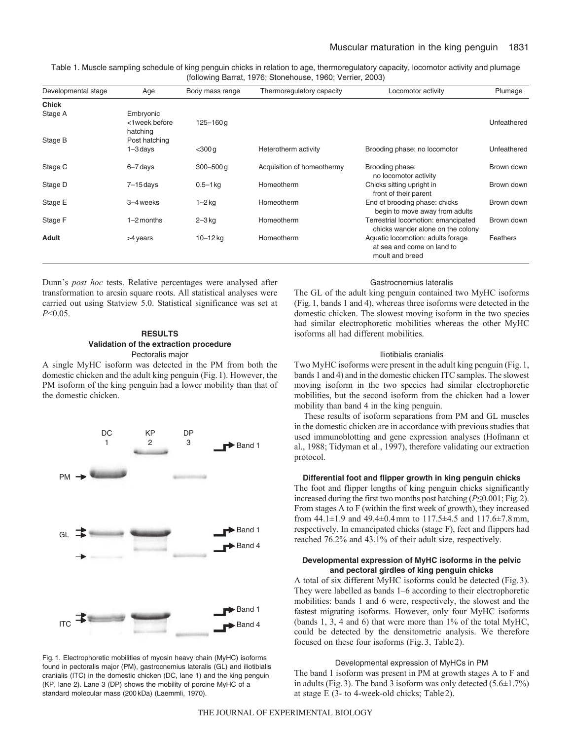Table 1. Muscle sampling schedule of king penguin chicks in relation to age, thermoregulatory capacity, locomotor activity and plumage (following Barrat, 1976; Stonehouse, 1960; Verrier, 2003)

| Developmental stage<br>Age |                                        | Body mass range | Thermoregulatory capacity  | Locomotor activity                                                                 | Plumage     |  |
|----------------------------|----------------------------------------|-----------------|----------------------------|------------------------------------------------------------------------------------|-------------|--|
| <b>Chick</b>               |                                        |                 |                            |                                                                                    |             |  |
| Stage A                    | Embryonic<br><1week before<br>hatching | $125 - 160q$    |                            |                                                                                    | Unfeathered |  |
| Stage B                    | Post hatching                          |                 |                            |                                                                                    |             |  |
|                            | $1 - 3$ days                           | $<$ 300 $q$     | Heterotherm activity       | Brooding phase: no locomotor                                                       | Unfeathered |  |
| Stage C                    | $6 - 7$ days                           | $300 - 500q$    | Acquisition of homeothermy | Brooding phase:<br>no locomotor activity                                           | Brown down  |  |
| Stage D                    | $7 - 15$ days                          | $0.5 - 1$ kg    | Homeotherm                 | Chicks sitting upright in<br>front of their parent                                 | Brown down  |  |
| Stage E                    | 3-4 weeks                              | $1-2$ kg        | Homeotherm                 | End of brooding phase: chicks<br>begin to move away from adults                    | Brown down  |  |
| Stage F                    | $1-2$ months                           | $2 - 3$ kg      | Homeotherm                 | Terrestrial locomotion: emancipated<br>chicks wander alone on the colony           | Brown down  |  |
| Adult                      | >4 years                               | 10–12 kg        | Homeotherm                 | Aquatic locomotion: adults forage<br>at sea and come on land to<br>moult and breed | Feathers    |  |

Dunn's *post hoc* tests. Relative percentages were analysed after transformation to arcsin square roots. All statistical analyses were carried out using Statview 5.0. Statistical significance was set at *P*<0.05.

## **RESULTS Validation of the extraction procedure** Pectoralis major

A single MyHC isoform was detected in the PM from both the domestic chicken and the adult king penguin (Fig.1). However, the PM isoform of the king penguin had a lower mobility than that of the domestic chicken.



Fig. 1. Electrophoretic mobilities of myosin heavy chain (MyHC) isoforms found in pectoralis major (PM), gastrocnemius lateralis (GL) and iliotibialis cranialis (ITC) in the domestic chicken (DC, lane 1) and the king penguin (KP, lane 2). Lane 3 (DP) shows the mobility of porcine MyHC of a standard molecular mass (200 kDa) (Laemmli, 1970).

# Gastrocnemius lateralis

The GL of the adult king penguin contained two MyHC isoforms (Fig.1, bands 1 and 4), whereas three isoforms were detected in the domestic chicken. The slowest moving isoform in the two species had similar electrophoretic mobilities whereas the other MyHC isoforms all had different mobilities.

#### Iliotibialis cranialis

Two MyHC isoforms were present in the adult king penguin (Fig.1, bands 1 and 4) and in the domestic chicken ITC samples. The slowest moving isoform in the two species had similar electrophoretic mobilities, but the second isoform from the chicken had a lower mobility than band 4 in the king penguin.

These results of isoform separations from PM and GL muscles in the domestic chicken are in accordance with previous studies that used immunoblotting and gene expression analyses (Hofmann et al., 1988; Tidyman et al., 1997), therefore validating our extraction protocol.

### **Differential foot and flipper growth in king penguin chicks**

The foot and flipper lengths of king penguin chicks significantly increased during the first two months post hatching (*P*≤0.001; Fig.2). From stages A to F (within the first week of growth), they increased from 44.1±1.9 and 49.4±0.4mm to 117.5±4.5 and 117.6±7.8mm, respectively. In emancipated chicks (stage F), feet and flippers had reached 76.2% and 43.1% of their adult size, respectively.

# **Developmental expression of MyHC isoforms in the pelvic and pectoral girdles of king penguin chicks**

A total of six different MyHC isoforms could be detected (Fig.3). They were labelled as bands 1–6 according to their electrophoretic mobilities: bands 1 and 6 were, respectively, the slowest and the fastest migrating isoforms. However, only four MyHC isoforms (bands 1, 3, 4 and 6) that were more than 1% of the total MyHC, could be detected by the densitometric analysis. We therefore focused on these four isoforms (Fig.3, Table2).

#### Developmental expression of MyHCs in PM

The band 1 isoform was present in PM at growth stages A to F and in adults (Fig. 3). The band 3 isoform was only detected  $(5.6\pm1.7\%)$ at stage E (3- to 4-week-old chicks; Table2).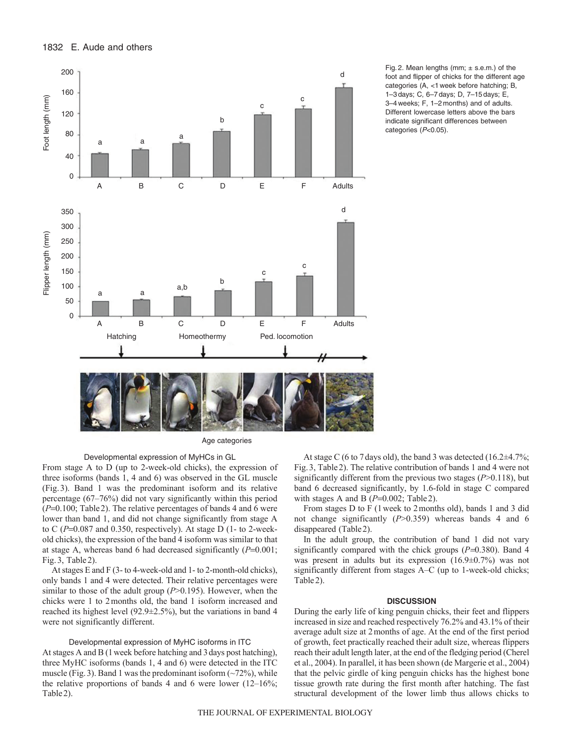

Fig. 2. Mean lengths (mm;  $\pm$  s.e.m.) of the foot and flipper of chicks for the different age categories (A, <1 week before hatching; B, 1–3 days; C, 6–7 days; D, 7–15 days; E, 3–4 weeks; F, 1–2 months) and of adults. Different lowercase letters above the bars indicate significant differences between categories (P<0.05).

Age categories

# Developmental expression of MyHCs in GL

From stage A to D (up to 2-week-old chicks), the expression of three isoforms (bands 1, 4 and 6) was observed in the GL muscle (Fig.3). Band 1 was the predominant isoform and its relative percentage (67–76%) did not vary significantly within this period  $(P=0.100;$  Table 2). The relative percentages of bands 4 and 6 were lower than band 1, and did not change significantly from stage A to C ( $P=0.087$  and 0.350, respectively). At stage D (1- to 2-weekold chicks), the expression of the band 4 isoform was similar to that at stage A, whereas band 6 had decreased significantly  $(P=0.001)$ ; Fig.3, Table2).

At stages E and F (3- to 4-week-old and 1- to 2-month-old chicks), only bands 1 and 4 were detected. Their relative percentages were similar to those of the adult group (*P*>0.195). However, when the chicks were 1 to 2months old, the band 1 isoform increased and reached its highest level (92.9±2.5%), but the variations in band 4 were not significantly different.

# Developmental expression of MyHC isoforms in ITC At stages A and B (1week before hatching and 3days post hatching), three MyHC isoforms (bands 1, 4 and 6) were detected in the ITC muscle (Fig. 3). Band 1 was the predominant isoform  $(\sim 72\%)$ , while the relative proportions of bands 4 and 6 were lower  $(12-16\%)$ ; Table2).

At stage C (6 to 7 days old), the band 3 was detected (16.2±4.7%; Fig.3, Table2). The relative contribution of bands 1 and 4 were not significantly different from the previous two stages (*P*>0.118), but band 6 decreased significantly, by 1.6-fold in stage C compared with stages A and B  $(P=0.002;$  Table 2).

From stages D to F (1week to 2months old), bands 1 and 3 did not change significantly (*P*>0.359) whereas bands 4 and 6 disappeared (Table2).

In the adult group, the contribution of band 1 did not vary significantly compared with the chick groups  $(P=0.380)$ . Band 4 was present in adults but its expression (16.9±0.7%) was not significantly different from stages A–C (up to 1-week-old chicks; Table2).

#### **DISCUSSION**

During the early life of king penguin chicks, their feet and flippers increased in size and reached respectively 76.2% and 43.1% of their average adult size at 2months of age. At the end of the first period of growth, feet practically reached their adult size, whereas flippers reach their adult length later, at the end of the fledging period (Cherel et al., 2004). In parallel, it has been shown (de Margerie et al., 2004) that the pelvic girdle of king penguin chicks has the highest bone tissue growth rate during the first month after hatching. The fast structural development of the lower limb thus allows chicks to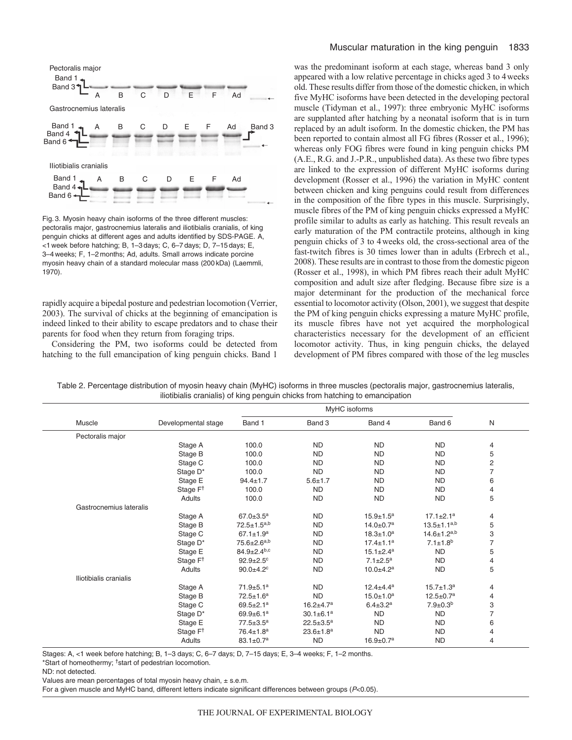

Fig. 3. Myosin heavy chain isoforms of the three different muscles: pectoralis major, gastrocnemius lateralis and iliotibialis cranialis, of king penguin chicks at different ages and adults identified by SDS-PAGE. A, <1 week before hatching; B, 1–3 days; C, 6–7 days; D, 7–15 days; E, 3–4 weeks; F, 1–2 months; Ad, adults. Small arrows indicate porcine myosin heavy chain of a standard molecular mass (200 kDa) (Laemmli, 1970).

rapidly acquire a bipedal posture and pedestrian locomotion (Verrier, 2003). The survival of chicks at the beginning of emancipation is indeed linked to their ability to escape predators and to chase their parents for food when they return from foraging trips.

Considering the PM, two isoforms could be detected from hatching to the full emancipation of king penguin chicks. Band 1

was the predominant isoform at each stage, whereas band 3 only appeared with a low relative percentage in chicks aged 3 to 4weeks old. These results differ from those of the domestic chicken, in which five MyHC isoforms have been detected in the developing pectoral muscle (Tidyman et al., 1997): three embryonic MyHC isoforms are supplanted after hatching by a neonatal isoform that is in turn replaced by an adult isoform. In the domestic chicken, the PM has been reported to contain almost all FG fibres (Rosser et al., 1996); whereas only FOG fibres were found in king penguin chicks PM (A.E., R.G. and J.-P.R., unpublished data). As these two fibre types are linked to the expression of different MyHC isoforms during development (Rosser et al., 1996) the variation in MyHC content between chicken and king penguins could result from differences in the composition of the fibre types in this muscle. Surprisingly, muscle fibres of the PM of king penguin chicks expressed a MyHC profile similar to adults as early as hatching. This result reveals an early maturation of the PM contractile proteins, although in king penguin chicks of 3 to 4weeks old, the cross-sectional area of the fast-twitch fibres is 30 times lower than in adults (Erbrech et al., 2008). These results are in contrast to those from the domestic pigeon (Rosser et al., 1998), in which PM fibres reach their adult MyHC composition and adult size after fledging. Because fibre size is a major determinant for the production of the mechanical force essential to locomotor activity (Olson, 2001), we suggest that despite the PM of king penguin chicks expressing a mature MyHC profile, its muscle fibres have not yet acquired the morphological characteristics necessary for the development of an efficient locomotor activity. Thus, in king penguin chicks, the delayed development of PM fibres compared with those of the leg muscles

Table 2. Percentage distribution of myosin heavy chain (MyHC) isoforms in three muscles (pectoralis major, gastrocnemius lateralis, iliotibialis cranialis) of king penguin chicks from hatching to emancipation

|                         |                      |                             | MyHC isoforms               |                             |                             |                |
|-------------------------|----------------------|-----------------------------|-----------------------------|-----------------------------|-----------------------------|----------------|
| Muscle                  | Developmental stage  | Band 1                      | Band 3                      | Band 4                      | Band 6                      | N              |
| Pectoralis major        |                      |                             |                             |                             |                             |                |
|                         | Stage A              | 100.0                       | <b>ND</b>                   | <b>ND</b>                   | <b>ND</b>                   | 4              |
|                         | Stage B              | 100.0                       | <b>ND</b>                   | <b>ND</b>                   | <b>ND</b>                   | 5              |
|                         | Stage C              | 100.0                       | <b>ND</b>                   | <b>ND</b>                   | <b>ND</b>                   | $\overline{c}$ |
|                         | Stage D*             | 100.0                       | <b>ND</b>                   | <b>ND</b>                   | <b>ND</b>                   | 7              |
|                         | Stage E              | $94.4 \pm 1.7$              | $5.6 + 1.7$                 | <b>ND</b>                   | <b>ND</b>                   | 6              |
|                         | Stage F <sup>†</sup> | 100.0                       | <b>ND</b>                   | <b>ND</b>                   | <b>ND</b>                   | 4              |
|                         | Adults               | 100.0                       | <b>ND</b>                   | <b>ND</b>                   | <b>ND</b>                   | 5              |
| Gastrocnemius lateralis |                      |                             |                             |                             |                             |                |
|                         | Stage A              | $67.0 \pm 3.5^a$            | <b>ND</b>                   | $15.9 \pm 1.5^a$            | $17.1 \pm 2.1$ <sup>a</sup> | 4              |
|                         | Stage B              | $72.5 \pm 1.5^{a,b}$        | <b>ND</b>                   | $14.0 \pm 0.7$ <sup>a</sup> | $13.5 \pm 1.1^{a,b}$        | 5              |
|                         | Stage C              | $67.1 \pm 1.9^a$            | <b>ND</b>                   | $18.3 \pm 1.0^a$            | $14.6 \pm 1.2^{a,b}$        | 3              |
|                         | Stage D*             | $75.6 \pm 2.6^{a,b}$        | <b>ND</b>                   | $17.4 \pm 1.1^a$            | $7.1 \pm 1.8$ <sup>b</sup>  | $\overline{7}$ |
|                         | Stage E              | $84.9 \pm 2.4^{b,c}$        | <b>ND</b>                   | $15.1 \pm 2.4^a$            | <b>ND</b>                   | 5              |
|                         | Stage F <sup>t</sup> | $92.9 \pm 2.5$ <sup>c</sup> | <b>ND</b>                   | $7.1 \pm 2.5^a$             | <b>ND</b>                   | 4              |
|                         | Adults               | $90.0 + 4.2$ <sup>c</sup>   | <b>ND</b>                   | $10.0 + 4.2^a$              | <b>ND</b>                   | 5              |
| Iliotibialis cranialis  |                      |                             |                             |                             |                             |                |
|                         | Stage A              | $71.9 \pm 5.1$ <sup>a</sup> | <b>ND</b>                   | $12.4 \pm 4.4^a$            | $15.7 \pm 1.3^a$            | 4              |
|                         | Stage B              | $72.5 \pm 1.6^a$            | <b>ND</b>                   | $15.0 \pm 1.0^a$            | $12.5 \pm 0.7^a$            | 4              |
|                         | Stage C              | $69.5 \pm 2.1^a$            | $16.2 \pm 4.7$ <sup>a</sup> | $6.4 \pm 3.2^a$             | $7.9 \pm 0.3^b$             | 3              |
|                         | Stage D*             | $69.9 \pm 6.1^a$            | $30.1 \pm 6.1$ <sup>a</sup> | <b>ND</b>                   | ND.                         | $\overline{7}$ |
|                         | Stage E              | $77.5 \pm 3.5^a$            | $22.5 \pm 3.5^a$            | <b>ND</b>                   | <b>ND</b>                   | 6              |
|                         | Stage F <sup>†</sup> | $76.4 \pm 1.8^a$            | $23.6 \pm 1.8^a$            | <b>ND</b>                   | <b>ND</b>                   | $\overline{4}$ |
|                         | Adults               | $83.1 \pm 0.7^a$            | <b>ND</b>                   | $16.9 \pm 0.7^a$            | <b>ND</b>                   | 4              |

Stages: A, <1 week before hatching; B, 1–3 days; C, 6–7 days; D, 7–15 days; E, 3–4 weeks; F, 1–2 months.

\*Start of homeothermy; †start of pedestrian locomotion.

ND: not detected.

Values are mean percentages of total myosin heavy chain,  $\pm$  s.e.m.

For a given muscle and MyHC band, different letters indicate significant differences between groups (P<0.05).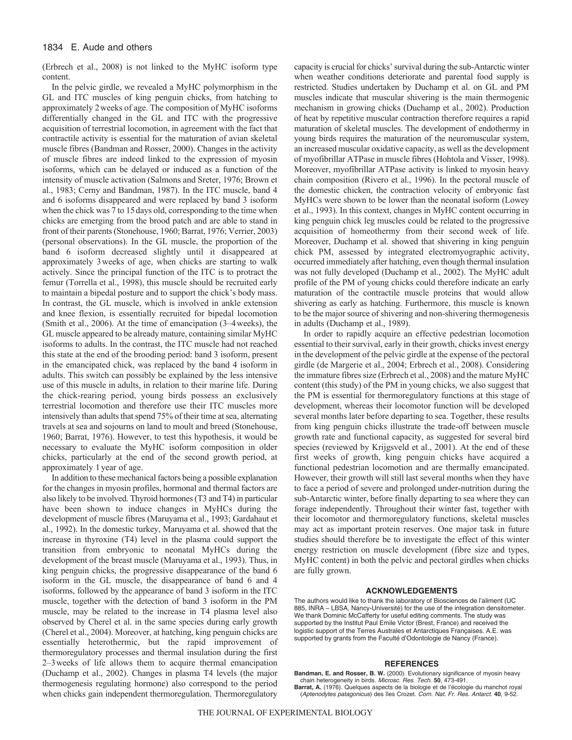# 1834 E. Aude and others

(Erbrech et al., 2008) is not linked to the MyHC isoform type content.

In the pelvic girdle, we revealed a MyHC polymorphism in the GL and ITC muscles of king penguin chicks, from hatching to approximately 2weeks of age. The composition of MyHC isoforms differentially changed in the GL and ITC with the progressive acquisition of terrestrial locomotion, in agreement with the fact that contractile activity is essential for the maturation of avian skeletal muscle fibres (Bandman and Rosser, 2000). Changes in the activity of muscle fibres are indeed linked to the expression of myosin isoforms, which can be delayed or induced as a function of the intensity of muscle activation (Salmons and Sreter, 1976; Brown et al., 1983; Cerny and Bandman, 1987). In the ITC muscle, band 4 and 6 isoforms disappeared and were replaced by band 3 isoform when the chick was 7 to 15 days old, corresponding to the time when chicks are emerging from the brood patch and are able to stand in front of their parents (Stonehouse, 1960; Barrat, 1976; Verrier, 2003) (personal observations). In the GL muscle, the proportion of the band 6 isoform decreased slightly until it disappeared at approximately 3weeks of age, when chicks are starting to walk actively. Since the principal function of the ITC is to protract the femur (Torrella et al., 1998), this muscle should be recruited early to maintain a bipedal posture and to support the chick's body mass. In contrast, the GL muscle, which is involved in ankle extension and knee flexion, is essentially recruited for bipedal locomotion (Smith et al., 2006). At the time of emancipation (3–4weeks), the GL muscle appeared to be already mature, containing similar MyHC isoforms to adults. In the contrast, the ITC muscle had not reached this state at the end of the brooding period: band 3 isoform, present in the emancipated chick, was replaced by the band 4 isoform in adults. This switch can possibly be explained by the less intensive use of this muscle in adults, in relation to their marine life. During the chick-rearing period, young birds possess an exclusively terrestrial locomotion and therefore use their ITC muscles more intensively than adults that spend 75% of their time at sea, alternating travels at sea and sojourns on land to moult and breed (Stonehouse, 1960; Barrat, 1976). However, to test this hypothesis, it would be necessary to evaluate the MyHC isoform composition in older chicks, particularly at the end of the second growth period, at approximately 1year of age.

In addition to these mechanical factors being a possible explanation for the changes in myosin profiles, hormonal and thermal factors are also likely to be involved. Thyroid hormones (T3 and T4) in particular have been shown to induce changes in MyHCs during the development of muscle fibres (Maruyama et al., 1993; Gardahaut et al., 1992). In the domestic turkey, Maruyama et al. showed that the increase in thyroxine (T4) level in the plasma could support the transition from embryonic to neonatal MyHCs during the development of the breast muscle (Maruyama et al., 1993). Thus, in king penguin chicks, the progressive disappearance of the band 6 isoform in the GL muscle, the disappearance of band 6 and 4 isoforms, followed by the appearance of band 3 isoform in the ITC muscle, together with the detection of band 3 isoform in the PM muscle, may be related to the increase in T4 plasma level also observed by Cherel et al. in the same species during early growth (Cherel et al., 2004). Moreover, at hatching, king penguin chicks are essentially heterothermic, but the rapid improvement of thermoregulatory processes and thermal insulation during the first 2–3weeks of life allows them to acquire thermal emancipation (Duchamp et al., 2002). Changes in plasma T4 levels (the major thermogenesis regulating hormone) also correspond to the period when chicks gain independent thermoregulation. Thermoregulatory

capacity is crucial for chicks' survival during the sub-Antarctic winter when weather conditions deteriorate and parental food supply is restricted. Studies undertaken by Duchamp et al. on GL and PM muscles indicate that muscular shivering is the main thermogenic mechanism in growing chicks (Duchamp et al., 2002). Production of heat by repetitive muscular contraction therefore requires a rapid maturation of skeletal muscles. The development of endothermy in young birds requires the maturation of the neuromuscular system, an increased muscular oxidative capacity, as well as the development of myofibrillar ATPase in muscle fibres (Hohtola and Visser, 1998). Moreover, myofibrillar ATPase activity is linked to myosin heavy chain composition (Rivero et al., 1996). In the pectoral muscle of the domestic chicken, the contraction velocity of embryonic fast MyHCs were shown to be lower than the neonatal isoform (Lowey et al., 1993). In this context, changes in MyHC content occurring in king penguin chick leg muscles could be related to the progressive acquisition of homeothermy from their second week of life. Moreover, Duchamp et al. showed that shivering in king penguin chick PM, assessed by integrated electromyographic activity, occurred immediately after hatching, even though thermal insulation was not fully developed (Duchamp et al., 2002). The MyHC adult profile of the PM of young chicks could therefore indicate an early maturation of the contractile muscle proteins that would allow shivering as early as hatching. Furthermore, this muscle is known to be the major source of shivering and non-shivering thermogenesis in adults (Duchamp et al., 1989).

In order to rapidly acquire an effective pedestrian locomotion essential to their survival, early in their growth, chicks invest energy in the development of the pelvic girdle at the expense of the pectoral girdle (de Margerie et al., 2004; Erbrech et al., 2008). Considering the immature fibres size (Erbrech et al., 2008) and the mature MyHC content (this study) of the PM in young chicks, we also suggest that the PM is essential for thermoregulatory functions at this stage of development, whereas their locomotor function will be developed several months later before departing to sea. Together, these results from king penguin chicks illustrate the trade-off between muscle growth rate and functional capacity, as suggested for several bird species (reviewed by Krijgsveld et al., 2001). At the end of these first weeks of growth, king penguin chicks have acquired a functional pedestrian locomotion and are thermally emancipated. However, their growth will still last several months when they have to face a period of severe and prolonged under-nutrition during the sub-Antarctic winter, before finally departing to sea where they can forage independently. Throughout their winter fast, together with their locomotor and thermoregulatory functions, skeletal muscles may act as important protein reserves. One major task in future studies should therefore be to investigate the effect of this winter energy restriction on muscle development (fibre size and types, MyHC content) in both the pelvic and pectoral girdles when chicks are fully grown.

#### **ACKNOWLEDGEMENTS**

The authors would like to thank the laboratory of Biosciences de l'aliment (UC 885, INRA – LBSA, Nancy-Université) for the use of the integration densitometer. We thank Dominic McCafferty for useful editing comments. The study was supported by the Institut Paul Emile Victor (Brest, France) and received the logistic support of the Terres Australes et Antarctiques Françaises. A.E. was supported by grants from the Faculté d'Odontologie de Nancy (France).

#### **REFERENCES**

**Bandman, E. and Rosser, B. W.** (2000). Evolutionary significance of myosin heavy chain heterogeneity in birds. Microsc. Res. Tech. **50**, 473-491. **Barrat, A.** (1976). Quelques aspects de la biologie et de l'écologie du manchot royal

(Aptenodytes patagonicus) des îles Crozet. Corn. Nat. Fr. Res. Antarct. **40**, 9-52.